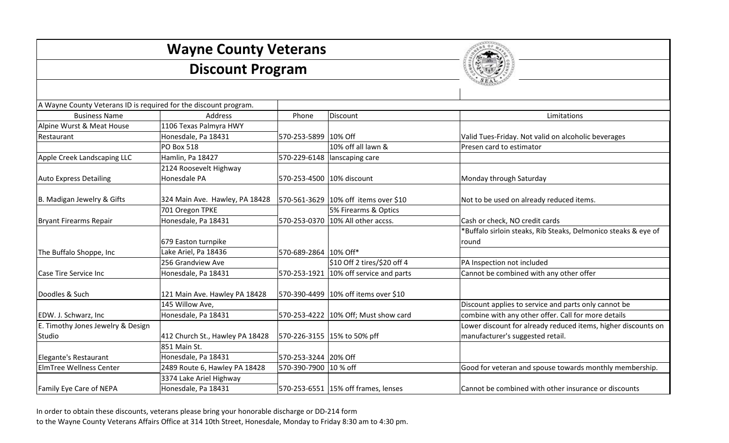| <b>Wayne County Veterans</b><br><b>Discount Program</b>          |                                 |                           |                                        |                                                                |  |
|------------------------------------------------------------------|---------------------------------|---------------------------|----------------------------------------|----------------------------------------------------------------|--|
|                                                                  |                                 |                           |                                        |                                                                |  |
| A Wayne County Veterans ID is required for the discount program. |                                 |                           |                                        |                                                                |  |
| <b>Business Name</b>                                             | Address                         | Phone                     | Discount                               | Limitations                                                    |  |
| Alpine Wurst & Meat House                                        | 1106 Texas Palmyra HWY          |                           |                                        |                                                                |  |
| Restaurant                                                       | Honesdale, Pa 18431             | 570-253-5899 10% Off      |                                        | Valid Tues-Friday. Not valid on alcoholic beverages            |  |
|                                                                  | PO Box 518                      |                           | 10% off all lawn &                     | Presen card to estimator                                       |  |
| Apple Creek Landscaping LLC                                      | Hamlin, Pa 18427                |                           | 570-229-6148   lanscaping care         |                                                                |  |
|                                                                  | 2124 Roosevelt Highway          |                           |                                        |                                                                |  |
| <b>Auto Express Detailing</b>                                    | Honesdale PA                    | 570-253-4500 10% discount |                                        | Monday through Saturday                                        |  |
| B. Madigan Jewelry & Gifts                                       | 324 Main Ave. Hawley, PA 18428  |                           | 570-561-3629 10% off items over \$10   | Not to be used on already reduced items.                       |  |
|                                                                  | 701 Oregon TPKE                 |                           | 5% Firearms & Optics                   |                                                                |  |
| <b>Bryant Firearms Repair</b>                                    | Honesdale, Pa 18431             |                           | 570-253-0370 10% All other accss.      | Cash or check, NO credit cards                                 |  |
|                                                                  |                                 |                           |                                        | *Buffalo sirloin steaks, Rib Steaks, Delmonico steaks & eye of |  |
|                                                                  | 679 Easton turnpike             |                           |                                        | round                                                          |  |
| The Buffalo Shoppe, Inc                                          | Lake Ariel, Pa 18436            | 570-689-2864 10% Off*     |                                        |                                                                |  |
|                                                                  | 256 Grandview Ave               |                           | \$10 Off 2 tires/\$20 off 4            | PA Inspection not included                                     |  |
| Case Tire Service Inc                                            | Honesdale, Pa 18431             |                           | 570-253-1921 10% off service and parts | Cannot be combined with any other offer                        |  |
|                                                                  |                                 |                           |                                        |                                                                |  |
| Doodles & Such                                                   | 121 Main Ave. Hawley PA 18428   |                           | 570-390-4499 10% off items over \$10   |                                                                |  |
|                                                                  | 145 Willow Ave,                 |                           |                                        | Discount applies to service and parts only cannot be           |  |
| EDW. J. Schwarz, Inc.                                            | Honesdale, Pa 18431             |                           | 570-253-4222 10% Off; Must show card   | combine with any other offer. Call for more details            |  |
| E. Timothy Jones Jewelry & Design                                |                                 |                           |                                        | Lower discount for already reduced items, higher discounts on  |  |
| Studio                                                           | 412 Church St., Hawley PA 18428 |                           | 570-226-3155 15% to 50% pff            | manufacturer's suggested retail.                               |  |
|                                                                  | 851 Main St.                    |                           |                                        |                                                                |  |
| Elegante's Restaurant                                            | Honesdale, Pa 18431             | 570-253-3244 20% Off      |                                        |                                                                |  |
| <b>ElmTree Wellness Center</b>                                   | 2489 Route 6, Hawley PA 18428   | 570-390-7900 10 % off     |                                        | Good for veteran and spouse towards monthly membership.        |  |
|                                                                  | 3374 Lake Ariel Highway         |                           |                                        |                                                                |  |
| Family Eye Care of NEPA                                          | Honesdale, Pa 18431             |                           | 570-253-6551 15% off frames, lenses    | Cannot be combined with other insurance or discounts           |  |

In order to obtain these discounts, veterans please bring your honorable discharge or DD-214 form to the Wayne County Veterans Affairs Office at 314 10th Street, Honesdale, Monday to Friday 8:30 am to 4:30 pm.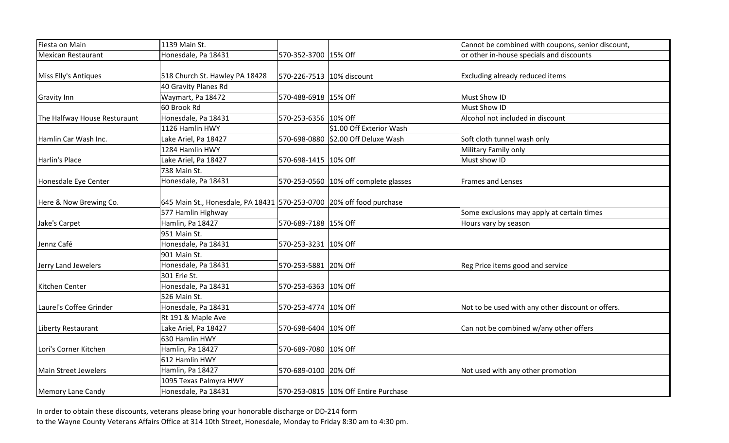| Fiesta on Main               | 1139 Main St.                                                        |                           |                                       | Cannot be combined with coupons, senior discount, |
|------------------------------|----------------------------------------------------------------------|---------------------------|---------------------------------------|---------------------------------------------------|
| <b>Mexican Restaurant</b>    | Honesdale, Pa 18431                                                  | 570-352-3700 15% Off      |                                       | or other in-house specials and discounts          |
|                              |                                                                      |                           |                                       |                                                   |
| Miss Elly's Antiques         | 518 Church St. Hawley PA 18428                                       | 570-226-7513 10% discount |                                       | Excluding already reduced items                   |
|                              | 40 Gravity Planes Rd                                                 |                           |                                       |                                                   |
| <b>Gravity Inn</b>           | Waymart, Pa 18472                                                    | 570-488-6918 15% Off      |                                       | Must Show ID                                      |
|                              | 60 Brook Rd                                                          |                           |                                       | Must Show ID                                      |
| The Halfway House Resturaunt | Honesdale, Pa 18431                                                  | 570-253-6356 10% Off      |                                       | Alcohol not included in discount                  |
|                              | 1126 Hamlin HWY                                                      |                           | \$1.00 Off Exterior Wash              |                                                   |
| Hamlin Car Wash Inc.         | Lake Ariel, Pa 18427                                                 |                           | 570-698-0880 \$2.00 Off Deluxe Wash   | Soft cloth tunnel wash only                       |
|                              | 1284 Hamlin HWY                                                      |                           |                                       | Military Family only                              |
| Harlin's Place               | Lake Ariel, Pa 18427                                                 | 570-698-1415 10% Off      |                                       | Must show ID                                      |
|                              | 738 Main St.                                                         |                           |                                       |                                                   |
| Honesdale Eye Center         | Honesdale, Pa 18431                                                  |                           | 570-253-0560 10% off complete glasses | <b>Frames and Lenses</b>                          |
|                              |                                                                      |                           |                                       |                                                   |
| Here & Now Brewing Co.       | 645 Main St., Honesdale, PA 18431 570-253-0700 20% off food purchase |                           |                                       |                                                   |
|                              | 577 Hamlin Highway                                                   |                           |                                       | Some exclusions may apply at certain times        |
| Jake's Carpet                | Hamlin, Pa 18427                                                     | 570-689-7188 15% Off      |                                       | Hours vary by season                              |
|                              | 951 Main St.                                                         |                           |                                       |                                                   |
| Jennz Café                   | Honesdale, Pa 18431                                                  | 570-253-3231 10% Off      |                                       |                                                   |
|                              | 901 Main St.                                                         |                           |                                       |                                                   |
| Jerry Land Jewelers          | Honesdale, Pa 18431                                                  | 570-253-5881 20% Off      |                                       | Reg Price items good and service                  |
|                              | 301 Erie St.                                                         |                           |                                       |                                                   |
| Kitchen Center               | Honesdale, Pa 18431                                                  | 570-253-6363 10% Off      |                                       |                                                   |
|                              | 526 Main St.                                                         |                           |                                       |                                                   |
| Laurel's Coffee Grinder      | Honesdale, Pa 18431                                                  | 570-253-4774 10% Off      |                                       | Not to be used with any other discount or offers. |
|                              | Rt 191 & Maple Ave                                                   |                           |                                       |                                                   |
| Liberty Restaurant           | Lake Ariel, Pa 18427                                                 | 570-698-6404 10% Off      |                                       | Can not be combined w/any other offers            |
|                              | 630 Hamlin HWY                                                       |                           |                                       |                                                   |
| Lori's Corner Kitchen        | Hamlin, Pa 18427                                                     | 570-689-7080 10% Off      |                                       |                                                   |
|                              | 612 Hamlin HWY                                                       |                           |                                       |                                                   |
| <b>Main Street Jewelers</b>  | Hamlin, Pa 18427                                                     | 570-689-0100 20% Off      |                                       | Not used with any other promotion                 |
|                              | 1095 Texas Palmyra HWY                                               |                           |                                       |                                                   |
| Memory Lane Candy            | Honesdale, Pa 18431                                                  |                           | 570-253-0815 10% Off Entire Purchase  |                                                   |

In order to obtain these discounts, veterans please bring your honorable discharge or DD-214 form to the Wayne County Veterans Affairs Office at 314 10th Street, Honesdale, Monday to Friday 8:30 am to 4:30 pm.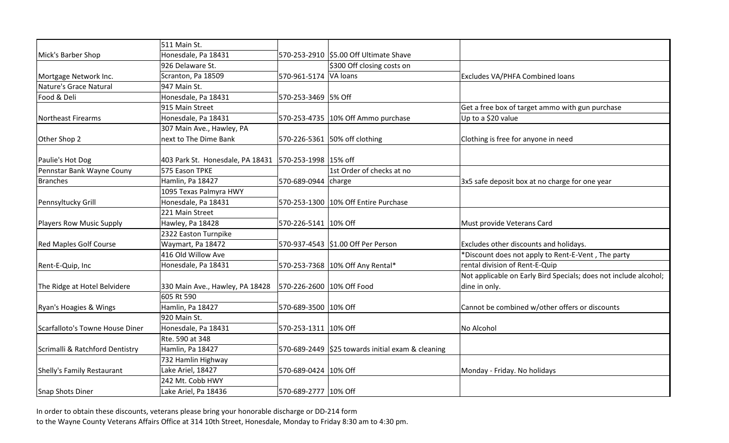|                                 | 511 Main St.                                          |                           |                                                   |                                                                  |
|---------------------------------|-------------------------------------------------------|---------------------------|---------------------------------------------------|------------------------------------------------------------------|
| Mick's Barber Shop              | Honesdale, Pa 18431                                   |                           | 570-253-2910 \$5.00 Off Ultimate Shave            |                                                                  |
|                                 | 926 Delaware St.                                      |                           | \$300 Off closing costs on                        |                                                                  |
| Mortgage Network Inc.           | Scranton, Pa 18509                                    | 570-961-5174 VA loans     |                                                   | Excludes VA/PHFA Combined loans                                  |
| Nature's Grace Natural          | 947 Main St.                                          |                           |                                                   |                                                                  |
| Food & Deli                     | Honesdale, Pa 18431                                   | 570-253-3469 5% Off       |                                                   |                                                                  |
|                                 | 915 Main Street                                       |                           |                                                   | Get a free box of target ammo with gun purchase                  |
| <b>Northeast Firearms</b>       | Honesdale, Pa 18431                                   |                           | 570-253-4735 10% Off Ammo purchase                | Up to a \$20 value                                               |
|                                 | 307 Main Ave., Hawley, PA                             |                           |                                                   |                                                                  |
| Other Shop 2                    | next to The Dime Bank                                 |                           | 570-226-5361 50% off clothing                     | Clothing is free for anyone in need                              |
|                                 |                                                       |                           |                                                   |                                                                  |
| Paulie's Hot Dog                | 403 Park St. Honesdale, PA 18431 570-253-1998 15% off |                           |                                                   |                                                                  |
| Pennstar Bank Wayne Couny       | 575 Eason TPKE                                        |                           | 1st Order of checks at no                         |                                                                  |
| <b>Branches</b>                 | Hamlin, Pa 18427                                      | 570-689-0944 charge       |                                                   | 3x5 safe deposit box at no charge for one year                   |
|                                 | 1095 Texas Palmyra HWY                                |                           |                                                   |                                                                  |
| Pennsyltucky Grill              | Honesdale, Pa 18431                                   |                           | 570-253-1300 10% Off Entire Purchase              |                                                                  |
|                                 | 221 Main Street                                       |                           |                                                   |                                                                  |
| Players Row Music Supply        | Hawley, Pa 18428                                      | 570-226-5141 10% Off      |                                                   | Must provide Veterans Card                                       |
|                                 | 2322 Easton Turnpike                                  |                           |                                                   |                                                                  |
| <b>Red Maples Golf Course</b>   | Waymart, Pa 18472                                     |                           | 570-937-4543 \$1.00 Off Per Person                | Excludes other discounts and holidays.                           |
|                                 | 416 Old Willow Ave                                    |                           |                                                   | *Discount does not apply to Rent-E-Vent, The party               |
| Rent-E-Quip, Inc                | Honesdale, Pa 18431                                   |                           | 570-253-7368 10% Off Any Rental*                  | rental division of Rent-E-Quip                                   |
|                                 |                                                       |                           |                                                   | Not applicable on Early Bird Specials; does not include alcohol; |
| The Ridge at Hotel Belvidere    | 330 Main Ave., Hawley, PA 18428                       | 570-226-2600 10% Off Food |                                                   | dine in only.                                                    |
|                                 | 605 Rt 590                                            |                           |                                                   |                                                                  |
| Ryan's Hoagies & Wings          | Hamlin, Pa 18427                                      | 570-689-3500 10% Off      |                                                   | Cannot be combined w/other offers or discounts                   |
|                                 | 920 Main St.                                          |                           |                                                   |                                                                  |
| Scarfalloto's Towne House Diner | Honesdale, Pa 18431                                   | 570-253-1311 10% Off      |                                                   | No Alcohol                                                       |
|                                 | Rte. 590 at 348                                       |                           |                                                   |                                                                  |
| Scrimalli & Ratchford Dentistry | Hamlin, Pa 18427                                      |                           | 570-689-2449 \$25 towards initial exam & cleaning |                                                                  |
|                                 | 732 Hamlin Highway                                    |                           |                                                   |                                                                  |
| Shelly's Family Restaurant      | Lake Ariel, 18427                                     | 570-689-0424 10% Off      |                                                   | Monday - Friday. No holidays                                     |
|                                 | 242 Mt. Cobb HWY                                      |                           |                                                   |                                                                  |
| <b>Snap Shots Diner</b>         | Lake Ariel, Pa 18436                                  | 570-689-2777 10% Off      |                                                   |                                                                  |

In order to obtain these discounts, veterans please bring your honorable discharge or DD-214 form to the Wayne County Veterans Affairs Office at 314 10th Street, Honesdale, Monday to Friday 8:30 am to 4:30 pm.